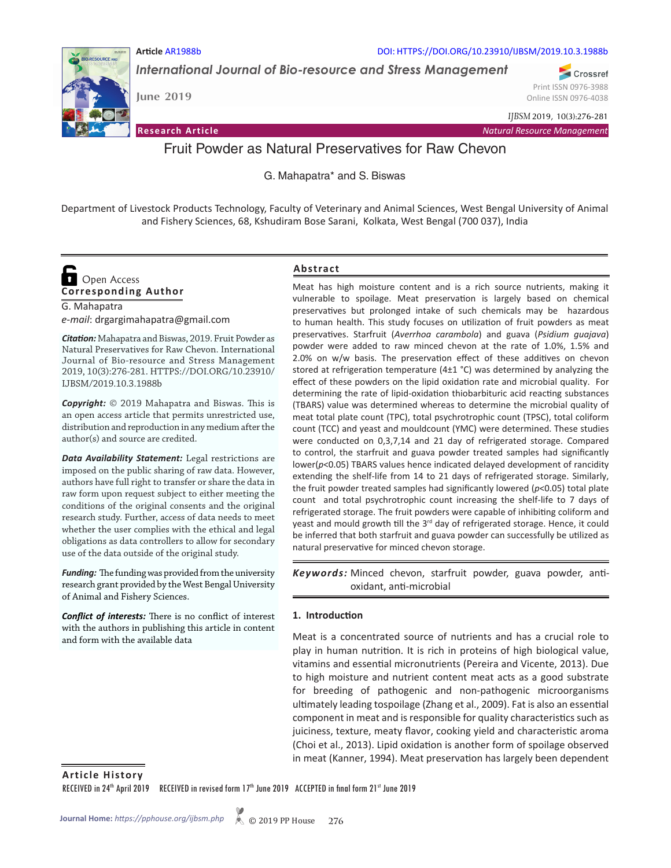

**Article** AR1988b DOI: HTTPS://DOI.ORG/10.23910/IJBSM/2019.10.3.1988b

*International Journal of Bio-resource and Stress Management*

**June 2019**

Crossref Print ISSN 0976-3988 Online ISSN 0976-4038

*IJBSM* 2019, 10(3):276-281

**Research Article** *Natural Resource Management*

# Fruit Powder as Natural Preservatives for Raw Chevon

G. Mahapatra\* and S. Biswas

Department of Livestock Products Technology, Faculty of Veterinary and Animal Sciences, West Bengal University of Animal and Fishery Sciences, 68, Kshudiram Bose Sarani, Kolkata, West Bengal (700 037), India

# **Corresponding Author**  Open Access

G. Mahapatra *e-mail*: drgargimahapatra@gmail.com

*Citation:* Mahapatra and Biswas, 2019. Fruit Powder as Natural Preservatives for Raw Chevon. International Journal of Bio-resource and Stress Management 2019, 10(3):276-281. HTTPS://DOI.ORG/10.23910/ IJBSM/2019.10.3.1988b

*Copyright:* © 2019 Mahapatra and Biswas. This is an open access article that permits unrestricted use, distribution and reproduction in any medium after the author(s) and source are credited.

*Data Availability Statement:* Legal restrictions are imposed on the public sharing of raw data. However, authors have full right to transfer or share the data in raw form upon request subject to either meeting the conditions of the original consents and the original research study. Further, access of data needs to meet whether the user complies with the ethical and legal obligations as data controllers to allow for secondary use of the data outside of the original study.

*Funding:* The funding was provided from the university research grant provided by the West Bengal University of Animal and Fishery Sciences.

*Conflict of interests:* There is no conflict of interest with the authors in publishing this article in content and form with the available data

# **Abstract**

Meat has high moisture content and is a rich source nutrients, making it vulnerable to spoilage. Meat preservation is largely based on chemical preservatives but prolonged intake of such chemicals may be hazardous to human health. This study focuses on utilization of fruit powders as meat preservatives. Starfruit (*Averrhoa carambola*) and guava (*Psidium guajava*) powder were added to raw minced chevon at the rate of 1.0%, 1.5% and 2.0% on w/w basis. The preservation effect of these additives on chevon stored at refrigeration temperature (4±1 °C) was determined by analyzing the effect of these powders on the lipid oxidation rate and microbial quality. For determining the rate of lipid-oxidation thiobarbituric acid reacting substances (TBARS) value was determined whereas to determine the microbial quality of meat total plate count (TPC), total psychrotrophic count (TPSC), total coliform count (TCC) and yeast and mouldcount (YMC) were determined. These studies were conducted on 0,3,7,14 and 21 day of refrigerated storage. Compared to control, the starfruit and guava powder treated samples had significantly lower(*p*<0.05) TBARS values hence indicated delayed development of rancidity extending the shelf-life from 14 to 21 days of refrigerated storage. Similarly, the fruit powder treated samples had significantly lowered (*p*<0.05) total plate count and total psychrotrophic count increasing the shelf-life to 7 days of refrigerated storage. The fruit powders were capable of inhibiting coliform and yeast and mould growth till the 3<sup>rd</sup> day of refrigerated storage. Hence, it could be inferred that both starfruit and guava powder can successfully be utilized as natural preservative for minced chevon storage.

Keywords: Minced chevon, starfruit powder, guava powder, antioxidant, anti-microbial

# **1. Introduction**

Meat is a concentrated source of nutrients and has a crucial role to play in human nutrition. It is rich in proteins of high biological value, vitamins and essential micronutrients (Pereira and Vicente, 2013). Due to high moisture and nutrient content meat acts as a good substrate for breeding of pathogenic and non-pathogenic microorganisms ultimately leading tospoilage (Zhang et al., 2009). Fat is also an essential component in meat and is responsible for quality characteristics such as juiciness, texture, meaty flavor, cooking yield and characteristic aroma (Choi et al., 2013). Lipid oxidation is another form of spoilage observed in meat (Kanner, 1994). Meat preservation has largely been dependent

**Article History** RECEIVED in 24<sup>th</sup> April 2019 RECEIVED in revised form 17<sup>th</sup> June 2019 ACCEPTED in final form 21st June 2019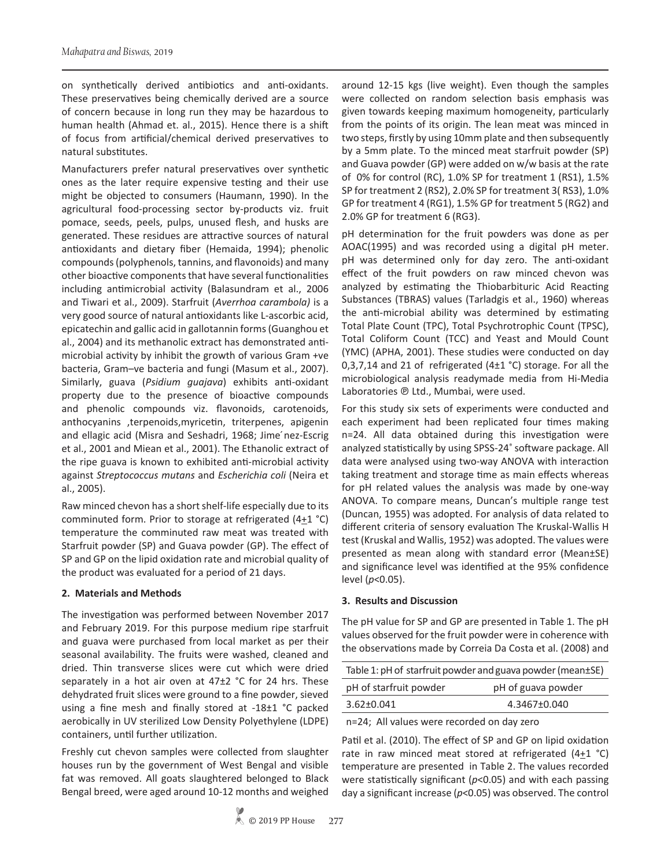on synthetically derived antibiotics and anti-oxidants. These preservatives being chemically derived are a source of concern because in long run they may be hazardous to human health (Ahmad et. al., 2015). Hence there is a shift of focus from artificial/chemical derived preservatives to natural substitutes.

Manufacturers prefer natural preservatives over synthetic ones as the later require expensive testing and their use might be objected to consumers (Haumann, 1990). In the agricultural food-processing sector by-products viz. fruit pomace, seeds, peels, pulps, unused flesh, and husks are generated. These residues are attractive sources of natural antioxidants and dietary fiber (Hemaida, 1994); phenolic compounds (polyphenols, tannins, and flavonoids) and many other bioactive components that have several functionalities including antimicrobial activity (Balasundram et al., 2006 and Tiwari et al., 2009). Starfruit (*Averrhoa carambola)* is a very good source of natural antioxidants like L-ascorbic acid, epicatechin and gallic acid in gallotannin forms (Guanghou et al., 2004) and its methanolic extract has demonstrated antimicrobial activity by inhibit the growth of various Gram +ve bacteria, Gram–ve bacteria and fungi (Masum et al., 2007). Similarly, guava (*Psidium guajava*) exhibits anti-oxidant property due to the presence of bioactive compounds and phenolic compounds viz. flavonoids, carotenoids, anthocyanins ,terpenoids,myricetin, triterpenes, apigenin and ellagic acid (Misra and Seshadri, 1968; Jime nez-Escrig et al., 2001 and Miean et al., 2001). The Ethanolic extract of the ripe guava is known to exhibited anti-microbial activity against *Streptococcus mutans* and *Escherichia coli* (Neira et al., 2005).

Raw minced chevon has a short shelf-life especially due to its comminuted form. Prior to storage at refrigerated  $(4+1 \degree C)$ temperature the comminuted raw meat was treated with Starfruit powder (SP) and Guava powder (GP). The effect of SP and GP on the lipid oxidation rate and microbial quality of the product was evaluated for a period of 21 days.

#### **2. Materials and Methods**

The investigation was performed between November 2017 and February 2019. For this purpose medium ripe starfruit and guava were purchased from local market as per their seasonal availability. The fruits were washed, cleaned and dried. Thin transverse slices were cut which were dried separately in a hot air oven at 47±2 °C for 24 hrs. These dehydrated fruit slices were ground to a fine powder, sieved using a fine mesh and finally stored at -18±1 °C packed aerobically in UV sterilized Low Density Polyethylene (LDPE) containers, until further utilization.

Freshly cut chevon samples were collected from slaughter houses run by the government of West Bengal and visible fat was removed. All goats slaughtered belonged to Black Bengal breed, were aged around 10-12 months and weighed

around 12-15 kgs (live weight). Even though the samples were collected on random selection basis emphasis was given towards keeping maximum homogeneity, particularly from the points of its origin. The lean meat was minced in two steps, firstly by using 10mm plate and then subsequently by a 5mm plate. To the minced meat starfruit powder (SP) and Guava powder (GP) were added on w/w basis at the rate of 0% for control (RC), 1.0% SP for treatment 1 (RS1), 1.5% SP for treatment 2 (RS2), 2.0% SP for treatment 3( RS3), 1.0% GP for treatment 4 (RG1), 1.5% GP for treatment 5 (RG2) and 2.0% GP for treatment 6 (RG3).

pH determination for the fruit powders was done as per AOAC(1995) and was recorded using a digital pH meter. pH was determined only for day zero. The anti-oxidant effect of the fruit powders on raw minced chevon was analyzed by estimating the Thiobarbituric Acid Reacting Substances (TBRAS) values (Tarladgis et al., 1960) whereas the anti-microbial ability was determined by estimating Total Plate Count (TPC), Total Psychrotrophic Count (TPSC), Total Coliform Count (TCC) and Yeast and Mould Count (YMC) (APHA, 2001). These studies were conducted on day 0,3,7,14 and 21 of refrigerated (4±1 °C) storage. For all the microbiological analysis readymade media from Hi-Media Laboratories ℗ Ltd., Mumbai, were used.

For this study six sets of experiments were conducted and each experiment had been replicated four times making n=24. All data obtained during this investigation were analyzed statistically by using SPSS-24® software package. All data were analysed using two-way ANOVA with interaction taking treatment and storage time as main effects whereas for pH related values the analysis was made by one-way ANOVA. To compare means, Duncan's multiple range test (Duncan, 1955) was adopted. For analysis of data related to different criteria of sensory evaluation The Kruskal-Wallis H test (Kruskal and Wallis, 1952) was adopted. The values were presented as mean along with standard error (Mean±SE) and significance level was identified at the 95% confidence level (*p*<0.05).

#### **3. Results and Discussion**

The pH value for SP and GP are presented in Table 1. The pH values observed for the fruit powder were in coherence with the observations made by Correia Da Costa et al. (2008) and

| Table 1: pH of starfruit powder and guava powder (mean±SE) |  |  |  |  |
|------------------------------------------------------------|--|--|--|--|
| pH of guava powder<br>pH of starfruit powder               |  |  |  |  |
| 4.3467±0.040<br>$3.62 \pm 0.041$                           |  |  |  |  |
| n-24. All values were recorded on day zero                 |  |  |  |  |

n=24; All values were recorded on day zero

Patil et al. (2010). The effect of SP and GP on lipid oxidation rate in raw minced meat stored at refrigerated  $(4+1)$  °C) temperature are presented in Table 2. The values recorded were statistically significant (*p*<0.05) and with each passing day a significant increase (*p*<0.05) was observed. The control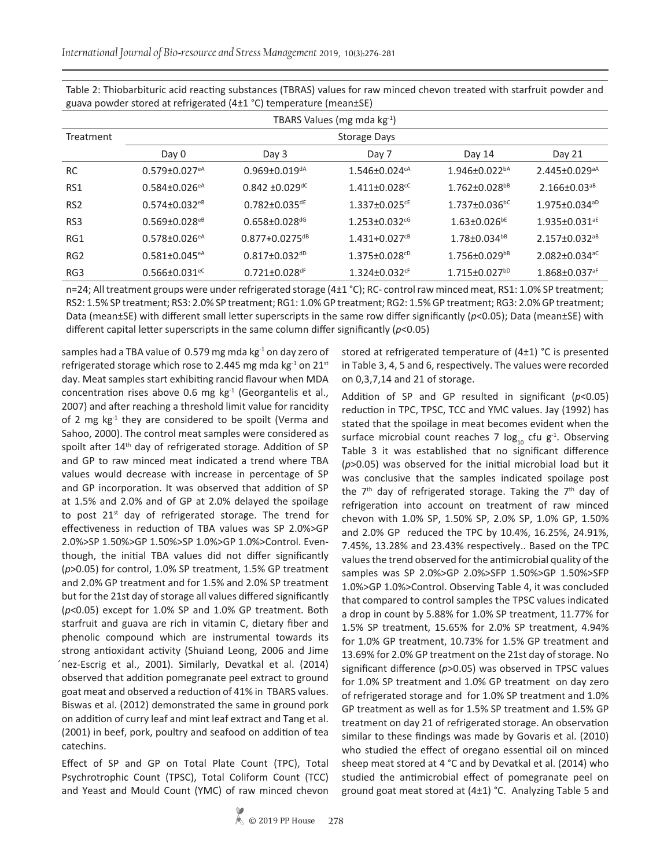*International Journal of Bio-resource and Stress Management* 2019, 10(3):276-281

| TBARS Values (mg mda kg-1) |                                 |                                 |                                 |                                 |                                 |  |
|----------------------------|---------------------------------|---------------------------------|---------------------------------|---------------------------------|---------------------------------|--|
| Treatment                  | Storage Days                    |                                 |                                 |                                 |                                 |  |
|                            | Day 0                           | Day 3                           | Day 7                           | Day 14                          | Day 21                          |  |
| <b>RC</b>                  | $0.579 \pm 0.027$ <sup>eA</sup> | $0.969 \pm 0.019$ <sup>dA</sup> | $1.546 \pm 0.024$ <sup>cA</sup> | $1.946 \pm 0.022^{bA}$          | $2.445 \pm 0.029$ <sup>aA</sup> |  |
| RS1                        | $0.584 \pm 0.026$ <sup>eA</sup> | $0.842 \pm 0.029$ <sup>dC</sup> | $1.411 \pm 0.028$ <sup>cC</sup> | $1.762 \pm 0.028$ <sup>bB</sup> | $2.166 \pm 0.03$ <sup>aB</sup>  |  |
| RS <sub>2</sub>            | $0.574 \pm 0.032$ <sup>eB</sup> | $0.782 \pm 0.035$ dE            | $1.337 \pm 0.025$ <sup>cE</sup> | $1.737 \pm 0.036$ <sup>bC</sup> | $1.975 \pm 0.034$ <sup>aD</sup> |  |
| RS3                        | $0.569 \pm 0.028$ <sup>eB</sup> | $0.658 \pm 0.028$ dG            | $1.253 \pm 0.032$ <sup>cG</sup> | $1.63 \pm 0.026$ <sup>bE</sup>  | $1.935 \pm 0.031$ <sup>aE</sup> |  |
| RG1                        | $0.578 \pm 0.026$ <sup>eA</sup> | $0.877 + 0.0275$ <sup>dB</sup>  | $1.431+0.027$ <sup>cB</sup>     | $1.78 \pm 0.034^{b}$            | 2.157±0.032 <sup>aB</sup>       |  |
| RG <sub>2</sub>            | $0.581 \pm 0.045$ <sup>eA</sup> | $0.817 \pm 0.032$ <sup>dD</sup> | $1.375 \pm 0.028$ <sup>cD</sup> | $1.756 \pm 0.029^{b}$           | $2.082 \pm 0.034$ <sup>aC</sup> |  |
| RG3                        | $0.566 \pm 0.031$ <sup>eC</sup> | $0.721 \pm 0.028$ dF            | $1.324 \pm 0.032$ <sup>cF</sup> | $1.715 \pm 0.027$ <sup>bD</sup> | $1.868 \pm 0.037$ <sup>aF</sup> |  |

Table 2: Thiobarbituric acid reacting substances (TBRAS) values for raw minced chevon treated with starfruit powder and guava powder stored at refrigerated (4±1 °C) temperature (mean±SE)

n=24; All treatment groups were under refrigerated storage (4±1 °C); RC- control raw minced meat, RS1: 1.0% SP treatment; RS2: 1.5% SP treatment; RS3: 2.0% SP treatment; RG1: 1.0% GP treatment; RG2: 1.5% GP treatment; RG3: 2.0% GP treatment; Data (mean±SE) with different small letter superscripts in the same row differ significantly (*p*<0.05); Data (mean±SE) with different capital letter superscripts in the same column differ significantly (*p*<0.05)

samples had a TBA value of 0.579 mg mda  $kg<sup>-1</sup>$  on day zero of refrigerated storage which rose to 2.445 mg mda  $kg<sup>-1</sup>$  on 21st day. Meat samples start exhibiting rancid flavour when MDA concentration rises above 0.6 mg  $kg<sup>-1</sup>$  (Georgantelis et al., 2007) and after reaching a threshold limit value for rancidity of 2 mg  $kg<sup>-1</sup>$  they are considered to be spoilt (Verma and Sahoo, 2000). The control meat samples were considered as spoilt after 14<sup>th</sup> day of refrigerated storage. Addition of SP and GP to raw minced meat indicated a trend where TBA values would decrease with increase in percentage of SP and GP incorporation. It was observed that addition of SP at 1.5% and 2.0% and of GP at 2.0% delayed the spoilage to post  $21^{st}$  day of refrigerated storage. The trend for effectiveness in reduction of TBA values was SP 2.0%>GP 2.0%>SP 1.50%>GP 1.50%>SP 1.0%>GP 1.0%>Control. Eventhough, the initial TBA values did not differ significantly (*p*>0.05) for control, 1.0% SP treatment, 1.5% GP treatment and 2.0% GP treatment and for 1.5% and 2.0% SP treatment but for the 21st day of storage all values differed significantly (*p*<0.05) except for 1.0% SP and 1.0% GP treatment. Both starfruit and guava are rich in vitamin C, dietary fiber and phenolic compound which are instrumental towards its strong antioxidant activity (Shuiand Leong, 2006 and Jime ́nez-Escrig et al., 2001). Similarly, Devatkal et al. (2014) observed that addition pomegranate peel extract to ground goat meat and observed a reduction of 41% in TBARS values. Biswas et al. (2012) demonstrated the same in ground pork on addition of curry leaf and mint leaf extract and Tang et al. (2001) in beef, pork, poultry and seafood on addition of tea catechins.

Effect of SP and GP on Total Plate Count (TPC), Total Psychrotrophic Count (TPSC), Total Coliform Count (TCC) and Yeast and Mould Count (YMC) of raw minced chevon stored at refrigerated temperature of (4±1) °C is presented in Table 3, 4, 5 and 6, respectively. The values were recorded on 0,3,7,14 and 21 of storage.

Addition of SP and GP resulted in significant (*p*<0.05) reduction in TPC, TPSC, TCC and YMC values. Jay (1992) has stated that the spoilage in meat becomes evident when the surface microbial count reaches 7  $log_{10}$  cfu g<sup>-1</sup>. Observing Table 3 it was established that no significant difference (*p*>0.05) was observed for the initial microbial load but it was conclusive that the samples indicated spoilage post the  $7<sup>th</sup>$  day of refrigerated storage. Taking the  $7<sup>th</sup>$  day of refrigeration into account on treatment of raw minced chevon with 1.0% SP, 1.50% SP, 2.0% SP, 1.0% GP, 1.50% and 2.0% GP reduced the TPC by 10.4%, 16.25%, 24.91%, 7.45%, 13.28% and 23.43% respectively.. Based on the TPC values the trend observed for the antimicrobial quality of the samples was SP 2.0%>GP 2.0%>SFP 1.50%>GP 1.50%>SFP 1.0%>GP 1.0%>Control. Observing Table 4, it was concluded that compared to control samples the TPSC values indicated a drop in count by 5.88% for 1.0% SP treatment, 11.77% for 1.5% SP treatment, 15.65% for 2.0% SP treatment, 4.94% for 1.0% GP treatment, 10.73% for 1.5% GP treatment and 13.69% for 2.0% GP treatment on the 21st day of storage. No significant difference (*p*>0.05) was observed in TPSC values for 1.0% SP treatment and 1.0% GP treatment on day zero of refrigerated storage and for 1.0% SP treatment and 1.0% GP treatment as well as for 1.5% SP treatment and 1.5% GP treatment on day 21 of refrigerated storage. An observation similar to these findings was made by Govaris et al. (2010) who studied the effect of oregano essential oil on minced sheep meat stored at 4 °C and by Devatkal et al. (2014) who studied the antimicrobial effect of pomegranate peel on ground goat meat stored at (4±1) °C. Analyzing Table 5 and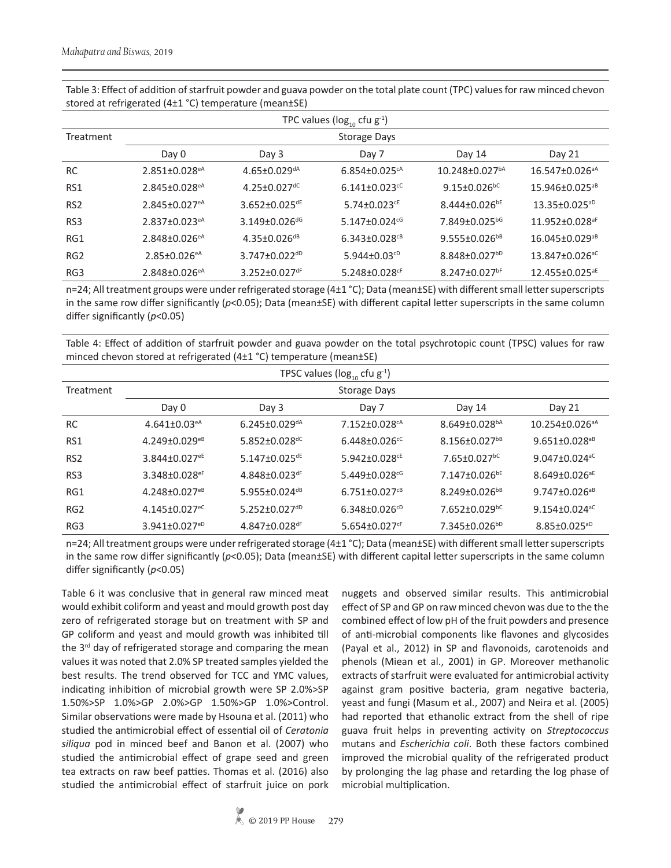| TPC values ( $log_{10}$ cfu $g^{-1}$ ) |                                 |                                 |                                 |                                  |                                  |  |
|----------------------------------------|---------------------------------|---------------------------------|---------------------------------|----------------------------------|----------------------------------|--|
| Treatment                              | <b>Storage Days</b>             |                                 |                                 |                                  |                                  |  |
|                                        | Day 0                           | Day 3                           | Day 7                           | Day 14                           | Day 21                           |  |
| <b>RC</b>                              | $2.851 \pm 0.028$ <sup>eA</sup> | $4.65 \pm 0.029$ <sup>dA</sup>  | $6.854 \pm 0.025$ <sup>cA</sup> | $10.248 \pm 0.027$ <sup>bA</sup> | $16.547 \pm 0.026$ <sup>aA</sup> |  |
| RS1                                    | $2.845 \pm 0.028$ <sup>eA</sup> | $4.25 \pm 0.027$ <sup>dC</sup>  | $6.141 \pm 0.023$ <sup>cC</sup> | $9.15 \pm 0.026$ <sup>bC</sup>   | $15.946\pm0.025^{aB}$            |  |
| RS <sub>2</sub>                        | $2.845 \pm 0.027$ <sup>eA</sup> | 3.652±0.025 <sup>dE</sup>       | $5.74\pm0.023$ <sup>cE</sup>    | $8.444 \pm 0.026$ <sup>bE</sup>  | $13.35 \pm 0.025^{aD}$           |  |
| RS <sub>3</sub>                        | $2.837 \pm 0.023$ <sup>eA</sup> | $3.149 \pm 0.026$ dG            | $5.147 \pm 0.024$ <sup>cG</sup> | 7.849±0.025bG                    | 11.952±0.028 <sup>aF</sup>       |  |
| RG1                                    | $2.848 \pm 0.026$ <sup>eA</sup> | $4.35 \pm 0.026$ <sup>dB</sup>  | $6.343 \pm 0.028$ <sup>cB</sup> | $9.555\pm0.026^{b}$              | $16.045 \pm 0.029$ <sup>aB</sup> |  |
| RG <sub>2</sub>                        | $2.85 \pm 0.026$ <sup>eA</sup>  | $3.747 \pm 0.022$ <sup>dD</sup> | 5.944 $\pm$ 0.03 <sup>cD</sup>  | $8.848 \pm 0.027$ <sup>bD</sup>  | $13.847 \pm 0.026$ <sup>aC</sup> |  |
| RG3                                    | $2.848 \pm 0.026$ <sup>eA</sup> | $3.252 \pm 0.027$ dF            | $5.248 \pm 0.028$ <sup>cF</sup> | $8.247 \pm 0.027$ bF             | $12.455 \pm 0.025^{\text{aE}}$   |  |

Table 3: Effect of addition of starfruit powder and guava powder on the total plate count (TPC) values for raw minced chevon stored at refrigerated (4±1 °C) temperature (mean±SE)

n=24; All treatment groups were under refrigerated storage (4±1 °C); Data (mean±SE) with different small letter superscripts in the same row differ significantly ( $p$ <0.05); Data (mean $\pm$ SE) with different capital letter superscripts in the same column differ significantly (*p*<0.05)

Table 4: Effect of addition of starfruit powder and guava powder on the total psychrotopic count (TPSC) values for raw minced chevon stored at refrigerated (4±1 °C) temperature (mean±SE)

| TPSC values ( $log_{10}$ cfu g <sup>-1</sup> ) |                                 |                                 |                                 |                                 |                                  |  |
|------------------------------------------------|---------------------------------|---------------------------------|---------------------------------|---------------------------------|----------------------------------|--|
| Treatment                                      | Storage Days                    |                                 |                                 |                                 |                                  |  |
|                                                | Day 0                           | Day 3                           | Day 7                           | Day 14                          | Day 21                           |  |
| <b>RC</b>                                      | $4.641 \pm 0.03$ <sup>eA</sup>  | $6.245 \pm 0.029$ <sup>dA</sup> | $7.152 \pm 0.028$ <sup>cA</sup> | $8.649 \pm 0.028^{bA}$          | $10.254 \pm 0.026$ <sup>aA</sup> |  |
| RS1                                            | $4.249 \pm 0.029$ <sup>eB</sup> | $5.852 \pm 0.028$ <sup>dC</sup> | $6.448 \pm 0.026$ <sup>cC</sup> | $8.156 \pm 0.027$ <sup>bB</sup> | $9.651 \pm 0.028$ <sup>aB</sup>  |  |
| RS <sub>2</sub>                                | $3.844 \pm 0.027$ <sup>eE</sup> | $5.147 \pm 0.025$ <sup>dE</sup> | $5.942 \pm 0.028$ <sup>cE</sup> | $7.65 \pm 0.027$ <sup>bC</sup>  | $9.047 \pm 0.024$ <sup>aC</sup>  |  |
| RS3                                            | $3.348 \pm 0.028$ <sup>eF</sup> | $4.848 \pm 0.023$ dF            | $5.449 \pm 0.028$ <sup>cG</sup> | $7.147 \pm 0.026$ <sup>bE</sup> | $8.649 \pm 0.026$ <sup>aE</sup>  |  |
| RG1                                            | $4.248 \pm 0.027$ <sup>eB</sup> | 5.955±0.024dB                   | $6.751 \pm 0.027$ <sup>cB</sup> | $8.249 \pm 0.026^{b}$           | $9.747 \pm 0.026$ <sup>aB</sup>  |  |
| RG <sub>2</sub>                                | $4.145 \pm 0.027$ <sup>eC</sup> | $5.252 \pm 0.027$ <sup>dD</sup> | $6.348 \pm 0.026^{cD}$          | $7.652 \pm 0.029$ <sup>bC</sup> | $9.154 \pm 0.024$ <sup>aC</sup>  |  |
| RG3                                            | $3.941 \pm 0.027$ <sup>eD</sup> | $4.847 \pm 0.028$ dF            | $5.654 \pm 0.027$ <sup>cF</sup> | $7.345 \pm 0.026^{bD}$          | $8.85 \pm 0.025^{aD}$            |  |

n=24; All treatment groups were under refrigerated storage (4±1 °C); Data (mean±SE) with different small letter superscripts in the same row differ significantly ( $p$ <0.05); Data (mean $\pm$ SE) with different capital letter superscripts in the same column differ significantly (*p*<0.05)

Table 6 it was conclusive that in general raw minced meat would exhibit coliform and yeast and mould growth post day zero of refrigerated storage but on treatment with SP and GP coliform and yeast and mould growth was inhibited till the 3<sup>rd</sup> day of refrigerated storage and comparing the mean values it was noted that 2.0% SP treated samples yielded the best results. The trend observed for TCC and YMC values, indicating inhibition of microbial growth were SP 2.0%>SP 1.50%>SP 1.0%>GP 2.0%>GP 1.50%>GP 1.0%>Control. Similar observations were made by Hsouna et al. (2011) who studied the antimicrobial effect of essential oil of *Ceratonia siliqua* pod in minced beef and Banon et al. (2007) who studied the antimicrobial effect of grape seed and green tea extracts on raw beef patties. Thomas et al. (2016) also studied the antimicrobial effect of starfruit juice on pork nuggets and observed similar results. This antimicrobial effect of SP and GP on raw minced chevon was due to the the combined effect of low pH of the fruit powders and presence of anti-microbial components like flavones and glycosides (Payal et al., 2012) in SP and flavonoids, carotenoids and phenols (Miean et al., 2001) in GP. Moreover methanolic extracts of starfruit were evaluated for antimicrobial activity against gram positive bacteria, gram negative bacteria, yeast and fungi (Masum et al., 2007) and Neira et al. (2005) had reported that ethanolic extract from the shell of ripe guava fruit helps in preventing activity on *Streptococcus* mutans and *Escherichia coli*. Both these factors combined improved the microbial quality of the refrigerated product by prolonging the lag phase and retarding the log phase of microbial multiplication.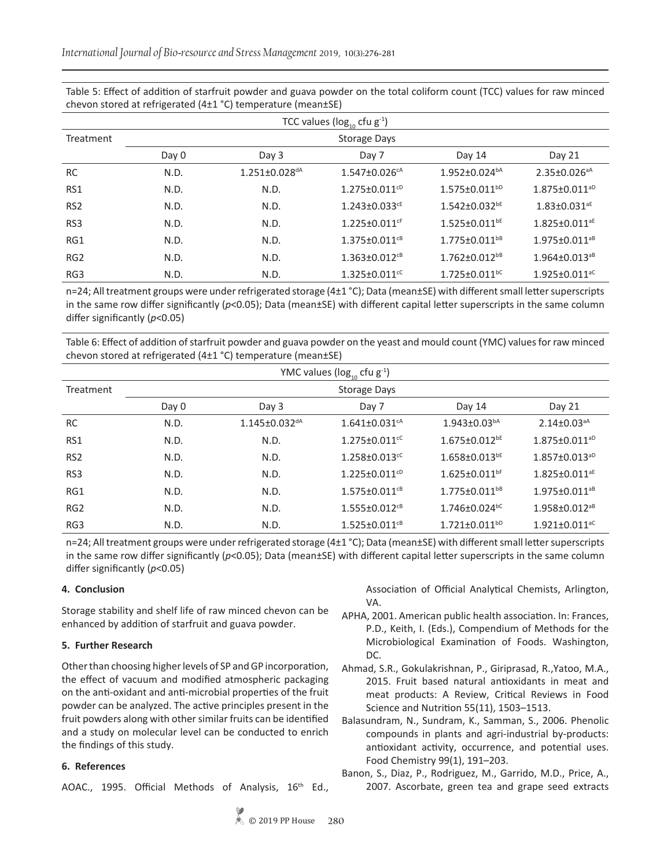Table 5: Effect of addition of starfruit powder and guava powder on the total coliform count (TCC) values for raw minced chevon stored at refrigerated (4±1 °C) temperature (mean±SE)

| TCC values ( $log_{10}$ cfu $g^{-1}$ ) |       |                                 |                                 |                                 |                                 |
|----------------------------------------|-------|---------------------------------|---------------------------------|---------------------------------|---------------------------------|
| Treatment                              |       |                                 |                                 |                                 |                                 |
|                                        | Day 0 | Day 3                           | Day 7                           | Day 14                          | Day 21                          |
| <b>RC</b>                              | N.D.  | $1.251 \pm 0.028$ <sup>dA</sup> | $1.547 \pm 0.026$ <sup>cA</sup> | $1.952 \pm 0.024^{bA}$          | $2.35 \pm 0.026$ <sup>aA</sup>  |
| RS1                                    | N.D.  | N.D.                            | $1.275 \pm 0.011$ <sup>cD</sup> | $1.575 \pm 0.011^{bD}$          | $1.875 \pm 0.011$ <sup>aD</sup> |
| RS <sub>2</sub>                        | N.D.  | N.D.                            | $1.243 \pm 0.033$ <sup>cE</sup> | $1.542 \pm 0.032$ <sup>bE</sup> | $1.83 \pm 0.031$ <sup>aE</sup>  |
| RS <sub>3</sub>                        | N.D.  | N.D.                            | $1.225 \pm 0.011$ <sup>cF</sup> | $1.525 \pm 0.011$ <sup>bE</sup> | $1.825 \pm 0.011$ <sup>aE</sup> |
| RG1                                    | N.D.  | N.D.                            | $1.375 \pm 0.011$ <sup>cB</sup> | $1.775 \pm 0.011$ <sup>bB</sup> | $1.975 \pm 0.011$ <sup>aB</sup> |
| RG <sub>2</sub>                        | N.D.  | N.D.                            | $1.363 \pm 0.012$ <sup>cB</sup> | $1.762 \pm 0.012^{b}$           | $1.964 \pm 0.013^{aB}$          |
| RG3                                    | N.D.  | N.D.                            | $1.325 \pm 0.011$ <sup>cC</sup> | $1.725 \pm 0.011$ bc            | $1.925 \pm 0.011$ <sup>aC</sup> |

n=24; All treatment groups were under refrigerated storage (4 $\pm$ 1 °C); Data (mean $\pm$ SE) with different small letter superscripts in the same row differ significantly ( $p$ <0.05); Data (mean $\pm$ SE) with different capital letter superscripts in the same column differ significantly (*p*<0.05)

Table 6: Effect of addition of starfruit powder and guava powder on the yeast and mould count (YMC) values for raw minced chevon stored at refrigerated (4±1 °C) temperature (mean±SE)

| YMC values ( $log_{10}$ cfu $g^{-1}$ ) |              |                                 |                                 |                                 |                                 |  |
|----------------------------------------|--------------|---------------------------------|---------------------------------|---------------------------------|---------------------------------|--|
| Treatment                              | Storage Days |                                 |                                 |                                 |                                 |  |
|                                        | Day 0        | Day 3                           | Day 7                           | Day 14                          | Day 21                          |  |
| <b>RC</b>                              | N.D.         | $1.145 \pm 0.032$ <sup>dA</sup> | $1.641 \pm 0.031$ <sup>cA</sup> | $1.943 \pm 0.03^{bA}$           | $2.14 \pm 0.03$ <sup>aA</sup>   |  |
| RS1                                    | N.D.         | N.D.                            | $1.275 \pm 0.011$ <sup>cC</sup> | $1.675 \pm 0.012$ <sup>bE</sup> | $1.875 \pm 0.011$ <sup>aD</sup> |  |
| RS <sub>2</sub>                        | N.D.         | N.D.                            | $1.258 \pm 0.013$ <sup>cC</sup> | $1.658 \pm 0.013$ <sup>bE</sup> | $1.857 \pm 0.013^{aD}$          |  |
| RS3                                    | N.D.         | N.D.                            | $1.225 \pm 0.011$ <sup>cD</sup> | $1.625 \pm 0.011$ bF            | $1.825 \pm 0.011$ <sup>aE</sup> |  |
| RG1                                    | N.D.         | N.D.                            | $1.575 \pm 0.011$ <sup>cB</sup> | $1.775 \pm 0.011$ <sup>bB</sup> | $1.975 \pm 0.011$ <sup>aB</sup> |  |
| RG <sub>2</sub>                        | N.D.         | N.D.                            | $1.555 + 0.012$ <sup>cB</sup>   | $1.746 \pm 0.024$ <sup>bC</sup> | $1.958 \pm 0.012$ <sup>aB</sup> |  |
| RG3                                    | N.D.         | N.D.                            | $1.525 \pm 0.011$ <sup>cB</sup> | $1.721 \pm 0.011$ <sup>bD</sup> | $1.921 \pm 0.011$ <sup>aC</sup> |  |

n=24; All treatment groups were under refrigerated storage (4±1 °C); Data (mean±SE) with different small letter superscripts in the same row differ significantly ( $p$ <0.05); Data (mean $\pm$ SE) with different capital letter superscripts in the same column differ significantly (*p*<0.05)

# **4. Conclusion**

Storage stability and shelf life of raw minced chevon can be enhanced by addition of starfruit and guava powder.

# **5. Further Research**

Other than choosing higher levels of SP and GP incorporation, the effect of vacuum and modified atmospheric packaging on the anti-oxidant and anti-microbial properties of the fruit powder can be analyzed. The active principles present in the fruit powders along with other similar fruits can be identified and a study on molecular level can be conducted to enrich the findings of this study.

# **6. References**

AOAC., 1995. Official Methods of Analysis, 16<sup>th</sup> Ed.,

Association of Official Analytical Chemists, Arlington, VA.

- APHA, 2001. American public health association. In: Frances, P.D., Keith, I. (Eds.), Compendium of Methods for the Microbiological Examination of Foods. Washington, DC.
- Ahmad, S.R., Gokulakrishnan, P., Giriprasad, R.,Yatoo, M.A., 2015. Fruit based natural antioxidants in meat and meat products: A Review, Critical Reviews in Food Science and Nutrition 55(11), 1503–1513.
- Balasundram, N., Sundram, K., Samman, S., 2006. Phenolic compounds in plants and agri-industrial by-products: antioxidant activity, occurrence, and potential uses. Food Chemistry 99(1), 191–203.
- Banon, S., Diaz, P., Rodriguez, M., Garrido, M.D., Price, A., 2007. Ascorbate, green tea and grape seed extracts